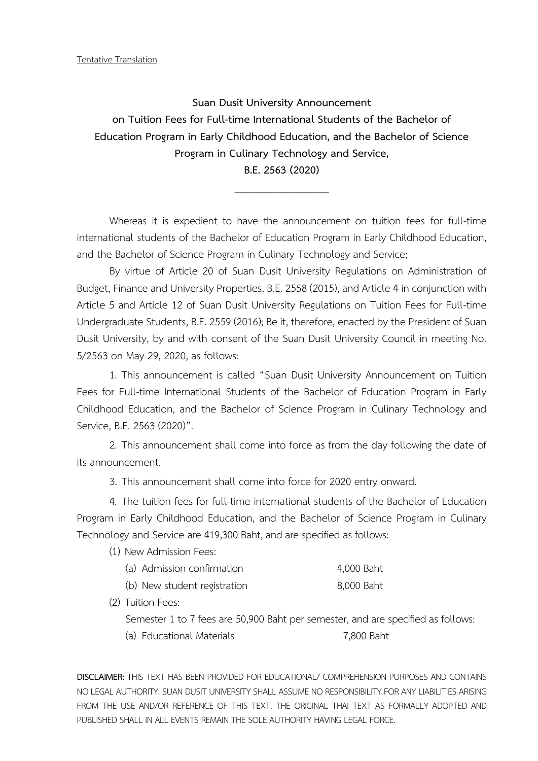Tentative Translation

**Suan Dusit University Announcement on Tuition Fees for Full-time International Students of the Bachelor of Education Program in Early Childhood Education, and the Bachelor of Science Program in Culinary Technology and Service, B.E. 2563 (2020)**

Whereas it is expedient to have the announcement on tuition fees for full-time international students of the Bachelor of Education Program in Early Childhood Education, and the Bachelor of Science Program in Culinary Technology and Service;

 $\overline{\phantom{a}}$  , where the contract of the contract of the contract of the contract of the contract of the contract of the contract of the contract of the contract of the contract of the contract of the contract of the contr

By virtue of Article 20 of Suan Dusit University Regulations on Administration of Budget, Finance and University Properties, B.E. 2558 (2015), and Article 4 in conjunction with Article 5 and Article 12 of Suan Dusit University Regulations on Tuition Fees for Full-time Undergraduate Students, B.E. 2559 (2016); Be it, therefore, enacted by the President of Suan Dusit University, by and with consent of the Suan Dusit University Council in meeting No. 5/2563 on May 29, 2020, as follows:

1. This announcement is called "Suan Dusit University Announcement on Tuition Fees for Full-time International Students of the Bachelor of Education Program in Early Childhood Education, and the Bachelor of Science Program in Culinary Technology and Service, B.E. 2563 (2020)".

2. This announcement shall come into force as from the day following the date of its announcement.

3. This announcement shall come into force for 2020 entry onward.

4. The tuition fees for full-time international students of the Bachelor of Education Program in Early Childhood Education, and the Bachelor of Science Program in Culinary Technology and Service are 419,300 Baht, and are specified as follows:

(1) New Admission Fees:

| (a) Admission confirmation   | 4,000 Baht |
|------------------------------|------------|
| (b) New student registration | 8,000 Baht |

(2) Tuition Fees:

Semester 1 to 7 fees are 50,900 Baht per semester, and are specified as follows:

(a) Educational Materials 7,800 Baht

**DISCLAIMER:** THIS TEXT HAS BEEN PROVIDED FOR EDUCATIONAL/ COMPREHENSION PURPOSES AND CONTAINS NO LEGAL AUTHORITY. SUAN DUSIT UNIVERSITY SHALL ASSUME NO RESPONSIBILITY FOR ANY LIABILITIES ARISING FROM THE USE AND/OR REFERENCE OF THIS TEXT. THE ORIGINAL THAI TEXT AS FORMALLY ADOPTED AND PUBLISHED SHALL IN ALL EVENTS REMAIN THE SOLE AUTHORITY HAVING LEGAL FORCE.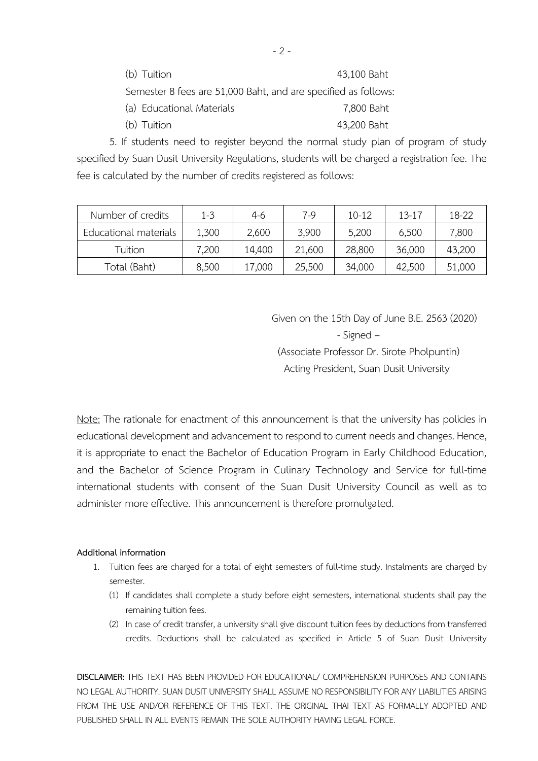| (b) Tuition                                                    | 43,100 Baht |
|----------------------------------------------------------------|-------------|
| Semester 8 fees are 51,000 Baht, and are specified as follows: |             |
| (a) Educational Materials                                      | 7,800 Baht  |

(b) Tuition 43,200 Baht

5. If students need to register beyond the normal study plan of program of study specified by Suan Dusit University Regulations, students will be charged a registration fee. The fee is calculated by the number of credits registered as follows:

| Number of credits     | $1 - 3$ | $4-6$  | $7-9$  | $10 - 12$ | $13 - 17$ | 18-22  |
|-----------------------|---------|--------|--------|-----------|-----------|--------|
| Educational materials | 1,300   | 2,600  | 3,900  | 5,200     | 6,500     | 7,800  |
| Tuition               | 7,200   | 14,400 | 21,600 | 28,800    | 36,000    | 43,200 |
| Total (Baht)          | 8,500   | 17,000 | 25,500 | 34,000    | 42,500    | 51,000 |

Given on the 15th Day of June B.E. 2563 (2020) - Signed – (Associate Professor Dr. Sirote Pholpuntin) Acting President, Suan Dusit University

Note: The rationale for enactment of this announcement is that the university has policies in educational development and advancement to respond to current needs and changes. Hence, it is appropriate to enact the Bachelor of Education Program in Early Childhood Education, and the Bachelor of Science Program in Culinary Technology and Service for full-time international students with consent of the Suan Dusit University Council as well as to administer more effective. This announcement is therefore promulgated.

## **Additional information**

- 1. Tuition fees are charged for a total of eight semesters of full-time study. Instalments are charged by semester.
	- (1) If candidates shall complete a study before eight semesters, international students shall pay the remaining tuition fees.
	- (2) In case of credit transfer, a university shall give discount tuition fees by deductions from transferred credits. Deductions shall be calculated as specified in Article 5 of Suan Dusit University

**DISCLAIMER:** THIS TEXT HAS BEEN PROVIDED FOR EDUCATIONAL/ COMPREHENSION PURPOSES AND CONTAINS NO LEGAL AUTHORITY. SUAN DUSIT UNIVERSITY SHALL ASSUME NO RESPONSIBILITY FOR ANY LIABILITIES ARISING FROM THE USE AND/OR REFERENCE OF THIS TEXT. THE ORIGINAL THAI TEXT AS FORMALLY ADOPTED AND PUBLISHED SHALL IN ALL EVENTS REMAIN THE SOLE AUTHORITY HAVING LEGAL FORCE.